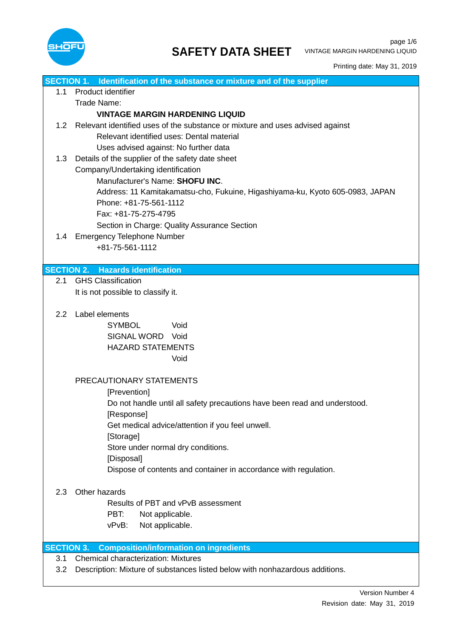

| <b>SECTION 1.</b> | Identification of the substance or mixture and of the supplier                |  |  |  |
|-------------------|-------------------------------------------------------------------------------|--|--|--|
| 1.1               | Product identifier                                                            |  |  |  |
|                   | Trade Name:                                                                   |  |  |  |
|                   | <b>VINTAGE MARGIN HARDENING LIQUID</b>                                        |  |  |  |
| 1.2               | Relevant identified uses of the substance or mixture and uses advised against |  |  |  |
|                   | Relevant identified uses: Dental material                                     |  |  |  |
|                   | Uses advised against: No further data                                         |  |  |  |
|                   |                                                                               |  |  |  |
| 1.3               | Details of the supplier of the safety date sheet                              |  |  |  |
|                   | Company/Undertaking identification                                            |  |  |  |
|                   | Manufacturer's Name: SHOFU INC.                                               |  |  |  |
|                   | Address: 11 Kamitakamatsu-cho, Fukuine, Higashiyama-ku, Kyoto 605-0983, JAPAN |  |  |  |
|                   | Phone: +81-75-561-1112                                                        |  |  |  |
|                   | Fax: +81-75-275-4795                                                          |  |  |  |
|                   | Section in Charge: Quality Assurance Section                                  |  |  |  |
| 1.4               | <b>Emergency Telephone Number</b>                                             |  |  |  |
|                   | +81-75-561-1112                                                               |  |  |  |
|                   |                                                                               |  |  |  |
|                   | <b>SECTION 2. Hazards identification</b>                                      |  |  |  |
| 2.1               | <b>GHS Classification</b>                                                     |  |  |  |
|                   | It is not possible to classify it.                                            |  |  |  |
|                   |                                                                               |  |  |  |
| $2.2^{\circ}$     | Label elements                                                                |  |  |  |
|                   | <b>SYMBOL</b><br>Void                                                         |  |  |  |
|                   | SIGNAL WORD Void                                                              |  |  |  |
|                   | <b>HAZARD STATEMENTS</b>                                                      |  |  |  |
|                   | Void                                                                          |  |  |  |
|                   |                                                                               |  |  |  |
|                   | PRECAUTIONARY STATEMENTS                                                      |  |  |  |
|                   | [Prevention]                                                                  |  |  |  |
|                   | Do not handle until all safety precautions have been read and understood.     |  |  |  |
|                   | [Response]                                                                    |  |  |  |
|                   |                                                                               |  |  |  |
|                   | Get medical advice/attention if you feel unwell.                              |  |  |  |
|                   | [Storage]                                                                     |  |  |  |
|                   | Store under normal dry conditions.                                            |  |  |  |
|                   | [Disposal]                                                                    |  |  |  |
|                   | Dispose of contents and container in accordance with regulation.              |  |  |  |
|                   |                                                                               |  |  |  |
| 2.3               | Other hazards                                                                 |  |  |  |
|                   | Results of PBT and vPvB assessment                                            |  |  |  |
|                   | PBT:<br>Not applicable.                                                       |  |  |  |
|                   | vPvB:<br>Not applicable.                                                      |  |  |  |
|                   |                                                                               |  |  |  |
| <b>SECTION 3.</b> | <b>Composition/information on ingredients</b>                                 |  |  |  |
| 3.1               | <b>Chemical characterization: Mixtures</b>                                    |  |  |  |
| 3.2               | Description: Mixture of substances listed below with nonhazardous additions.  |  |  |  |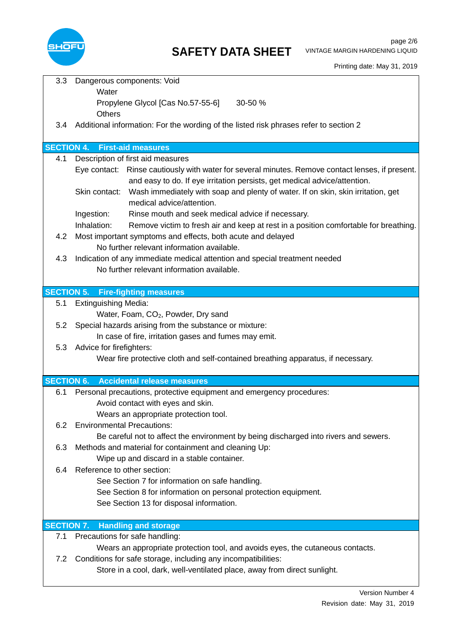

| 3.3               | Dangerous components: Void<br>Water                                                                                                                                                                                                                                             |
|-------------------|---------------------------------------------------------------------------------------------------------------------------------------------------------------------------------------------------------------------------------------------------------------------------------|
|                   | Propylene Glycol [Cas No.57-55-6]<br>30-50 %                                                                                                                                                                                                                                    |
|                   | <b>Others</b>                                                                                                                                                                                                                                                                   |
| 3.4               | Additional information: For the wording of the listed risk phrases refer to section 2                                                                                                                                                                                           |
| <b>SECTION 4.</b> | <b>First-aid measures</b>                                                                                                                                                                                                                                                       |
| 4.1               | Description of first aid measures                                                                                                                                                                                                                                               |
|                   | Eye contact: Rinse cautiously with water for several minutes. Remove contact lenses, if present.<br>and easy to do. If eye irritation persists, get medical advice/attention.<br>Skin contact: Wash immediately with soap and plenty of water. If on skin, skin irritation, get |
|                   | medical advice/attention.                                                                                                                                                                                                                                                       |
|                   | Ingestion:<br>Rinse mouth and seek medical advice if necessary.                                                                                                                                                                                                                 |
|                   | Inhalation:<br>Remove victim to fresh air and keep at rest in a position comfortable for breathing.                                                                                                                                                                             |
| 4.2               | Most important symptoms and effects, both acute and delayed<br>No further relevant information available.                                                                                                                                                                       |
| 4.3               | Indication of any immediate medical attention and special treatment needed                                                                                                                                                                                                      |
|                   | No further relevant information available.                                                                                                                                                                                                                                      |
|                   |                                                                                                                                                                                                                                                                                 |
|                   | <b>SECTION 5. Fire-fighting measures</b>                                                                                                                                                                                                                                        |
| 5.1               | <b>Extinguishing Media:</b>                                                                                                                                                                                                                                                     |
| 5.2               | Water, Foam, CO <sub>2</sub> , Powder, Dry sand<br>Special hazards arising from the substance or mixture:                                                                                                                                                                       |
|                   | In case of fire, irritation gases and fumes may emit.                                                                                                                                                                                                                           |
| 5.3               | Advice for firefighters:                                                                                                                                                                                                                                                        |
|                   | Wear fire protective cloth and self-contained breathing apparatus, if necessary.                                                                                                                                                                                                |
|                   |                                                                                                                                                                                                                                                                                 |
|                   | <b>SECTION 6.</b> Accidental release measures                                                                                                                                                                                                                                   |
| 6.1               | Personal precautions, protective equipment and emergency procedures:                                                                                                                                                                                                            |
|                   | Avoid contact with eyes and skin.                                                                                                                                                                                                                                               |
|                   | Wears an appropriate protection tool.                                                                                                                                                                                                                                           |
| 6.2               | <b>Environmental Precautions:</b>                                                                                                                                                                                                                                               |
|                   | Be careful not to affect the environment by being discharged into rivers and sewers.                                                                                                                                                                                            |
| 6.3               | Methods and material for containment and cleaning Up:                                                                                                                                                                                                                           |
|                   | Wipe up and discard in a stable container.                                                                                                                                                                                                                                      |
| 6.4               | Reference to other section:                                                                                                                                                                                                                                                     |
|                   | See Section 7 for information on safe handling.                                                                                                                                                                                                                                 |
|                   | See Section 8 for information on personal protection equipment.<br>See Section 13 for disposal information.                                                                                                                                                                     |
|                   |                                                                                                                                                                                                                                                                                 |
| <b>SECTION 7.</b> | <b>Handling and storage</b>                                                                                                                                                                                                                                                     |
| 7.1               | Precautions for safe handling:                                                                                                                                                                                                                                                  |
|                   | Wears an appropriate protection tool, and avoids eyes, the cutaneous contacts.                                                                                                                                                                                                  |
| 7.2               | Conditions for safe storage, including any incompatibilities:                                                                                                                                                                                                                   |
|                   | Store in a cool, dark, well-ventilated place, away from direct sunlight.                                                                                                                                                                                                        |
|                   |                                                                                                                                                                                                                                                                                 |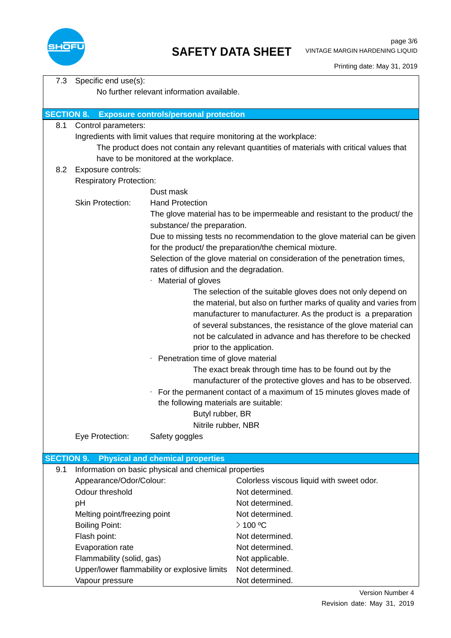

| 7.3               | Specific end use(s):                                  |                                                                                                    |                                                                                                                                     |  |  |
|-------------------|-------------------------------------------------------|----------------------------------------------------------------------------------------------------|-------------------------------------------------------------------------------------------------------------------------------------|--|--|
|                   | No further relevant information available.            |                                                                                                    |                                                                                                                                     |  |  |
|                   |                                                       |                                                                                                    |                                                                                                                                     |  |  |
| <b>SECTION 8.</b> |                                                       | <b>Exposure controls/personal protection</b>                                                       |                                                                                                                                     |  |  |
| 8.1               | Control parameters:                                   |                                                                                                    |                                                                                                                                     |  |  |
|                   |                                                       | Ingredients with limit values that require monitoring at the workplace:                            |                                                                                                                                     |  |  |
|                   |                                                       |                                                                                                    | The product does not contain any relevant quantities of materials with critical values that                                         |  |  |
|                   |                                                       | have to be monitored at the workplace.                                                             |                                                                                                                                     |  |  |
| 8.2               | Exposure controls:                                    |                                                                                                    |                                                                                                                                     |  |  |
|                   | <b>Respiratory Protection:</b>                        |                                                                                                    |                                                                                                                                     |  |  |
|                   |                                                       | Dust mask                                                                                          |                                                                                                                                     |  |  |
|                   | <b>Skin Protection:</b>                               | <b>Hand Protection</b>                                                                             |                                                                                                                                     |  |  |
|                   |                                                       | substance/ the preparation.                                                                        | The glove material has to be impermeable and resistant to the product/ the                                                          |  |  |
|                   |                                                       |                                                                                                    | Due to missing tests no recommendation to the glove material can be given<br>for the product/ the preparation/the chemical mixture. |  |  |
|                   |                                                       |                                                                                                    | Selection of the glove material on consideration of the penetration times,                                                          |  |  |
|                   |                                                       | rates of diffusion and the degradation.                                                            |                                                                                                                                     |  |  |
|                   |                                                       | Material of gloves                                                                                 |                                                                                                                                     |  |  |
|                   |                                                       |                                                                                                    | The selection of the suitable gloves does not only depend on                                                                        |  |  |
|                   |                                                       |                                                                                                    | the material, but also on further marks of quality and varies from                                                                  |  |  |
|                   |                                                       |                                                                                                    | manufacturer to manufacturer. As the product is a preparation                                                                       |  |  |
|                   |                                                       |                                                                                                    | of several substances, the resistance of the glove material can<br>not be calculated in advance and has therefore to be checked     |  |  |
|                   |                                                       |                                                                                                    |                                                                                                                                     |  |  |
|                   |                                                       |                                                                                                    | prior to the application.                                                                                                           |  |  |
|                   |                                                       | Penetration time of glove material<br>۰<br>The exact break through time has to be found out by the |                                                                                                                                     |  |  |
|                   |                                                       |                                                                                                    | manufacturer of the protective gloves and has to be observed.                                                                       |  |  |
|                   |                                                       | ۰                                                                                                  | For the permanent contact of a maximum of 15 minutes gloves made of                                                                 |  |  |
|                   |                                                       | the following materials are suitable:                                                              |                                                                                                                                     |  |  |
|                   |                                                       | Butyl rubber, BR                                                                                   |                                                                                                                                     |  |  |
|                   |                                                       | Nitrile rubber, NBR                                                                                |                                                                                                                                     |  |  |
|                   | Eye Protection:                                       | Safety goggles                                                                                     |                                                                                                                                     |  |  |
|                   |                                                       |                                                                                                    |                                                                                                                                     |  |  |
| <b>SECTION 9.</b> |                                                       | <b>Physical and chemical properties</b>                                                            |                                                                                                                                     |  |  |
| 9.1               |                                                       | Information on basic physical and chemical properties                                              |                                                                                                                                     |  |  |
|                   | Appearance/Odor/Colour:                               |                                                                                                    | Colorless viscous liquid with sweet odor.                                                                                           |  |  |
|                   | Odour threshold                                       |                                                                                                    | Not determined.                                                                                                                     |  |  |
|                   | рH                                                    |                                                                                                    | Not determined.                                                                                                                     |  |  |
|                   | Melting point/freezing point<br><b>Boiling Point:</b> |                                                                                                    | Not determined.                                                                                                                     |  |  |
|                   |                                                       |                                                                                                    | $>$ 100 °C                                                                                                                          |  |  |
|                   | Flash point:                                          |                                                                                                    | Not determined.                                                                                                                     |  |  |
|                   | Evaporation rate                                      |                                                                                                    | Not determined.                                                                                                                     |  |  |
|                   | Flammability (solid, gas)                             |                                                                                                    | Not applicable.                                                                                                                     |  |  |
|                   |                                                       | Upper/lower flammability or explosive limits                                                       | Not determined.                                                                                                                     |  |  |
|                   | Vapour pressure                                       |                                                                                                    | Not determined.                                                                                                                     |  |  |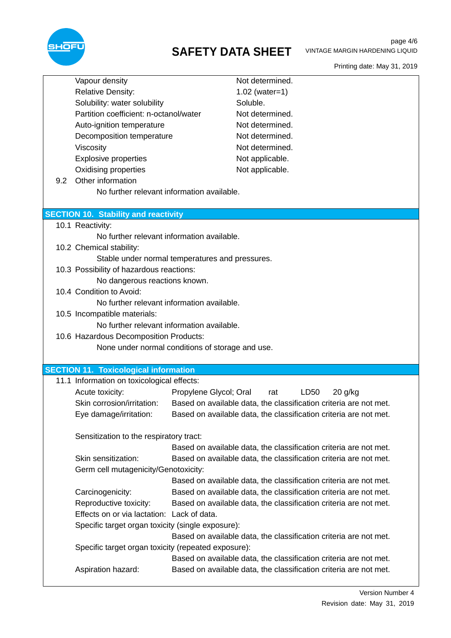

## **SAFETY DATA SHEET**

|     | Vapour density                                      |                        | Not determined.                                                   |  |
|-----|-----------------------------------------------------|------------------------|-------------------------------------------------------------------|--|
|     | <b>Relative Density:</b>                            |                        | $1.02$ (water=1)                                                  |  |
|     | Solubility: water solubility                        |                        | Soluble.                                                          |  |
|     | Partition coefficient: n-octanol/water              |                        | Not determined.                                                   |  |
|     | Auto-ignition temperature                           |                        | Not determined.                                                   |  |
|     | Decomposition temperature                           |                        | Not determined.                                                   |  |
|     | Viscosity                                           |                        | Not determined.                                                   |  |
|     | <b>Explosive properties</b>                         |                        | Not applicable.                                                   |  |
|     | <b>Oxidising properties</b>                         |                        | Not applicable.                                                   |  |
| 9.2 | Other information                                   |                        |                                                                   |  |
|     | No further relevant information available.          |                        |                                                                   |  |
|     |                                                     |                        |                                                                   |  |
|     | <b>SECTION 10. Stability and reactivity</b>         |                        |                                                                   |  |
|     | 10.1 Reactivity:                                    |                        |                                                                   |  |
|     | No further relevant information available.          |                        |                                                                   |  |
|     | 10.2 Chemical stability:                            |                        |                                                                   |  |
|     | Stable under normal temperatures and pressures.     |                        |                                                                   |  |
|     | 10.3 Possibility of hazardous reactions:            |                        |                                                                   |  |
|     | No dangerous reactions known.                       |                        |                                                                   |  |
|     | 10.4 Condition to Avoid:                            |                        |                                                                   |  |
|     | No further relevant information available.          |                        |                                                                   |  |
|     | 10.5 Incompatible materials:                        |                        |                                                                   |  |
|     | No further relevant information available.          |                        |                                                                   |  |
|     | 10.6 Hazardous Decomposition Products:              |                        |                                                                   |  |
|     | None under normal conditions of storage and use.    |                        |                                                                   |  |
|     |                                                     |                        |                                                                   |  |
|     | <b>SECTION 11. Toxicological information</b>        |                        |                                                                   |  |
|     | 11.1 Information on toxicological effects:          |                        |                                                                   |  |
|     | Acute toxicity:                                     | Propylene Glycol; Oral | LD50<br>$20$ g/kg<br>rat                                          |  |
|     | Skin corrosion/irritation:                          |                        | Based on available data, the classification criteria are not met. |  |
|     | Eye damage/irritation:                              |                        | Based on available data, the classification criteria are not met. |  |
|     |                                                     |                        |                                                                   |  |
|     | Sensitization to the respiratory tract:             |                        |                                                                   |  |
|     |                                                     |                        | Based on available data, the classification criteria are not met. |  |
|     | Skin sensitization:                                 |                        | Based on available data, the classification criteria are not met. |  |
|     | Germ cell mutagenicity/Genotoxicity:                |                        |                                                                   |  |
|     |                                                     |                        | Based on available data, the classification criteria are not met. |  |
|     | Carcinogenicity:                                    |                        | Based on available data, the classification criteria are not met. |  |
|     | Reproductive toxicity:                              |                        | Based on available data, the classification criteria are not met. |  |
|     | Effects on or via lactation: Lack of data.          |                        |                                                                   |  |
|     | Specific target organ toxicity (single exposure):   |                        |                                                                   |  |
|     |                                                     |                        | Based on available data, the classification criteria are not met. |  |
|     | Specific target organ toxicity (repeated exposure): |                        |                                                                   |  |
|     |                                                     |                        | Based on available data, the classification criteria are not met. |  |
|     | Aspiration hazard:                                  |                        | Based on available data, the classification criteria are not met. |  |
|     |                                                     |                        |                                                                   |  |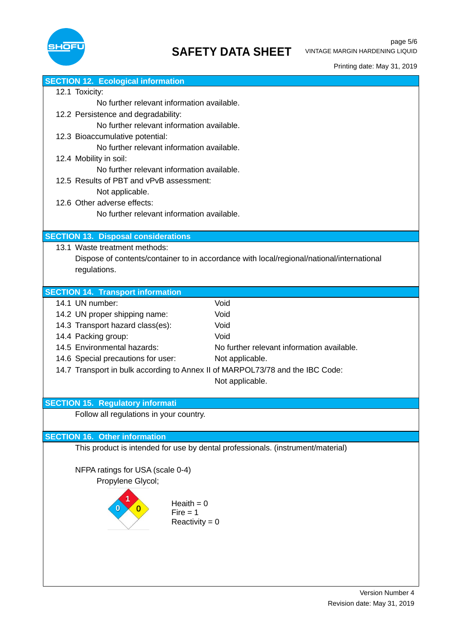

| <b>SECTION 12. Ecological information</b>                                                 |
|-------------------------------------------------------------------------------------------|
| 12.1 Toxicity:                                                                            |
| No further relevant information available.                                                |
| 12.2 Persistence and degradability:                                                       |
| No further relevant information available.                                                |
| 12.3 Bioaccumulative potential:                                                           |
| No further relevant information available.                                                |
| 12.4 Mobility in soil:                                                                    |
| No further relevant information available.                                                |
| 12.5 Results of PBT and vPvB assessment:                                                  |
| Not applicable.                                                                           |
| 12.6 Other adverse effects:                                                               |
| No further relevant information available.                                                |
|                                                                                           |
| <b>SECTION 13. Disposal considerations</b>                                                |
| 13.1 Waste treatment methods:                                                             |
| Dispose of contents/container to in accordance with local/regional/national/international |
| regulations.                                                                              |
|                                                                                           |
| <b>SECTION 14. Transport information</b>                                                  |
| 14.1 UN number:<br>Void                                                                   |
| Void<br>14.2 UN proper shipping name:                                                     |
| 14.3 Transport hazard class(es):<br>Void                                                  |
| 14.4 Packing group:<br>Void                                                               |
| 14.5 Environmental hazards:<br>No further relevant information available.                 |
| 14.6 Special precautions for user:<br>Not applicable.                                     |
| 14.7 Transport in bulk according to Annex II of MARPOL73/78 and the IBC Code:             |
| Not applicable.                                                                           |
|                                                                                           |
| <b>SECTION 15. Regulatory informati</b>                                                   |
| Follow all regulations in your country.                                                   |
|                                                                                           |
| <b>SECTION 16. Other information</b>                                                      |
| This product is intended for use by dental professionals. (instrument/material)           |
|                                                                                           |
| NFPA ratings for USA (scale 0-4)                                                          |
| Propylene Glycol;                                                                         |
|                                                                                           |
| Heaith $= 0$                                                                              |
| $Fire = 1$                                                                                |
| Reactivity = $0$                                                                          |
|                                                                                           |
|                                                                                           |
|                                                                                           |
|                                                                                           |
|                                                                                           |